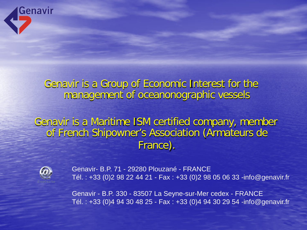

## Genavir is a Group of Economic Interest for the management of oceanonographic vessels

Genavir is a Maritime ISM certified company, member of French Shipowner's Association (Armateurs de France).



Genavir- B.P. 71 - 29280 Plouzané - FRANCE Tél. : +33 (0)2 98 22 44 21 - Fax : +33 (0)2 98 05 06 33 -info@genavir.fr

Genavir - B.P. 330 - 83507 La Seyne-sur-Mer cedex - FRANCE Tél. : +33 (0)4 94 30 48 25 - Fax : +33 (0)4 94 30 29 54 -info@genavir.fr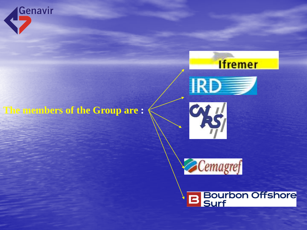



## **The members of the Group are :**





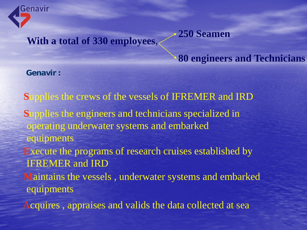

**With a total of 330 employees**,

### **80 engineers and Technicians**

**250 Seamen**

**Genavir :**

**S**upplies the crews of the vessels of IFREMER and IRD **S**upplies the engineers and technicians specialized in operating underwater systems and embarked equipments **E**xecute the programs of research cruises established by IFREMER and IRD **M**aintains the vessels , underwater systems and embarked equipments

Acquires , appraises and valids the data collected at sea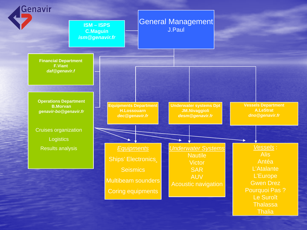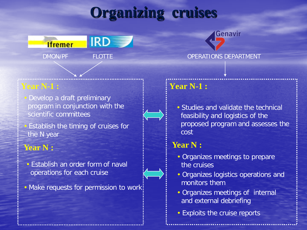# **Organizing cruises**



#### **Year N-1 : Year N-1 :**

• Develop a draft preliminary program in conjunction with the scientific committees

**Establish the timing of cruises for** the N year

#### **Year N :**

- Establish an order form of naval operations for each cruise
- Make requests for permission to work

• Studies and validate the technical feasibility and logistics of the proposed program and assesses the cost

Genavir

#### **Year N :**

- Organizes meetings to prepare the cruises
- Organizes logistics operations and monitors them
- Organizes meetings of internal and external debriefing
- Exploits the cruise reports

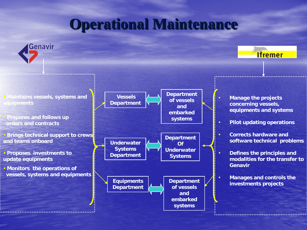# **Operational Maintenance**

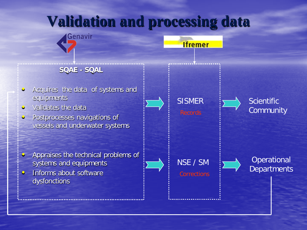